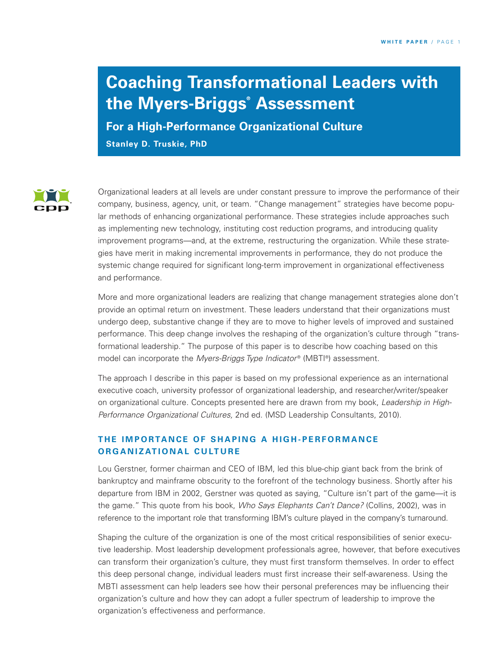# **Coaching Transformational Leaders with the Myers-Briggs® Assessment**

**For a High-Performance Organizational Culture Stanley D. Truskie, PhD**



Organizational leaders at all levels are under constant pressure to improve the performance of their company, business, agency, unit, or team. "Change management" strategies have become popular methods of enhancing organizational performance. These strategies include approaches such as implementing new technology, instituting cost reduction programs, and introducing quality improvement programs—and, at the extreme, restructuring the organization. While these strategies have merit in making incremental improvements in performance, they do not produce the systemic change required for significant long-term improvement in organizational effectiveness and performance.

More and more organizational leaders are realizing that change management strategies alone don't provide an optimal return on investment. These leaders understand that their organizations must undergo deep, substantive change if they are to move to higher levels of improved and sustained performance. This deep change involves the reshaping of the organization's culture through "transformational leadership." The purpose of this paper is to describe how coaching based on this model can incorporate the *Myers-Briggs Type Indicator®* (MBTI®) assessment.

The approach I describe in this paper is based on my professional experience as an international executive coach, university professor of organizational leadership, and researcher/writer/speaker on organizational culture. Concepts presented here are drawn from my book, *Leadership in High-Performance Organizational Cultures,* 2nd ed. (MSD Leadership Consultants, 2010).

## **THE IMPORTANCE OF SHAPING A HIGH-PERFORMANCE ORGANIZATIONAL CULTURE**

Lou Gerstner, former chairman and CEO of IBM, led this blue-chip giant back from the brink of bankruptcy and mainframe obscurity to the forefront of the technology business. Shortly after his departure from IBM in 2002, Gerstner was quoted as saying, "Culture isn't part of the game—it is the game." This quote from his book, *Who Says Elephants Can't Dance?* (Collins, 2002), was in reference to the important role that transforming IBM's culture played in the company's turnaround.

Shaping the culture of the organization is one of the most critical responsibilities of senior executive leadership. Most leadership development professionals agree, however, that before executives can transform their organization's culture, they must first transform themselves. In order to effect this deep personal change, individual leaders must first increase their self-awareness. Using the MBTI assessment can help leaders see how their personal preferences may be influencing their organization's culture and how they can adopt a fuller spectrum of leadership to improve the organization's effectiveness and performance.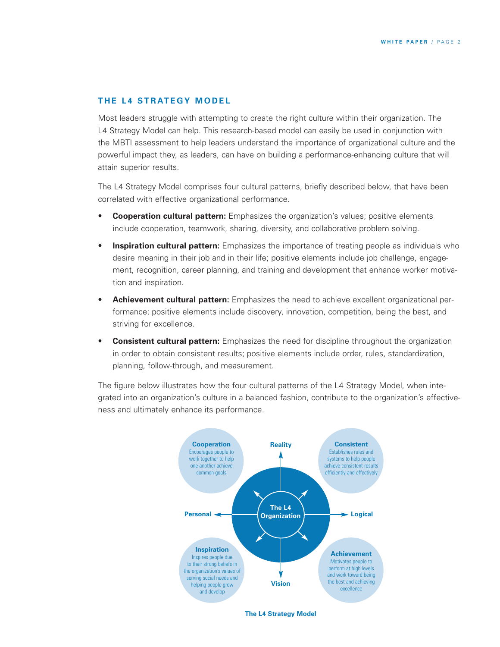### **THE L4 STRATEGY MODEL**

Most leaders struggle with attempting to create the right culture within their organization. The L4 Strategy Model can help. This research-based model can easily be used in conjunction with the MBTI assessment to help leaders understand the importance of organizational culture and the powerful impact they, as leaders, can have on building a performance-enhancing culture that will attain superior results.

The L4 Strategy Model comprises four cultural patterns, briefly described below, that have been correlated with effective organizational performance.

- **Cooperation cultural pattern:** Emphasizes the organization's values; positive elements include cooperation, teamwork, sharing, diversity, and collaborative problem solving.
- **Inspiration cultural pattern:** Emphasizes the importance of treating people as individuals who desire meaning in their job and in their life; positive elements include job challenge, engagement, recognition, career planning, and training and development that enhance worker motivation and inspiration.
- **Achievement cultural pattern:** Emphasizes the need to achieve excellent organizational performance; positive elements include discovery, innovation, competition, being the best, and striving for excellence.
- **Consistent cultural pattern:** Emphasizes the need for discipline throughout the organization in order to obtain consistent results; positive elements include order, rules, standardization, planning, follow-through, and measurement.

The figure below illustrates how the four cultural patterns of the L4 Strategy Model, when integrated into an organization's culture in a balanced fashion, contribute to the organization's effectiveness and ultimately enhance its performance.



**The L4 Strategy Model**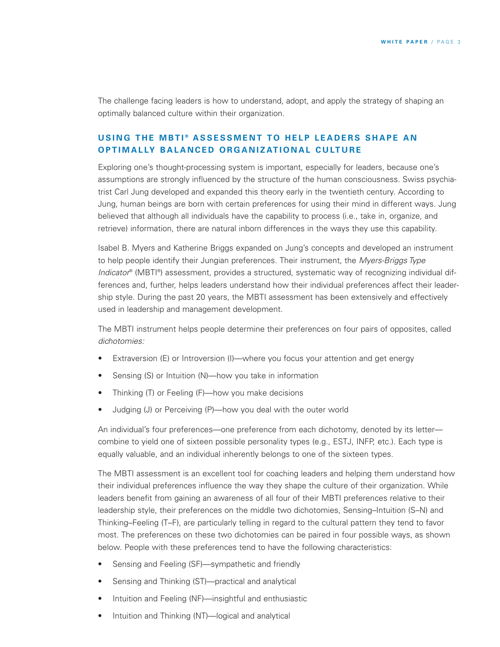The challenge facing leaders is how to understand, adopt, and apply the strategy of shaping an optimally balanced culture within their organization.

## **USING THE MBTI® ASSESSMENT TO HELP LEADERS SHAPE AN OPTIMALLY BALANCED ORGANIZATIONAL CULTURE**

Exploring one's thought-processing system is important, especially for leaders, because one's assumptions are strongly influenced by the structure of the human consciousness. Swiss psychiatrist Carl Jung developed and expanded this theory early in the twentieth century. According to Jung, human beings are born with certain preferences for using their mind in different ways. Jung believed that although all individuals have the capability to process (i.e., take in, organize, and retrieve) information, there are natural inborn differences in the ways they use this capability.

Isabel B. Myers and Katherine Briggs expanded on Jung's concepts and developed an instrument to help people identify their Jungian preferences. Their instrument, the *Myers-Briggs Type Indicator*® (MBTI®) assessment, provides a structured, systematic way of recognizing individual differences and, further, helps leaders understand how their individual preferences affect their leadership style. During the past 20 years, the MBTI assessment has been extensively and effectively used in leadership and management development.

The MBTI instrument helps people determine their preferences on four pairs of opposites, called *dichotomies:*

- Extraversion (E) or Introversion (I)—where you focus your attention and get energy
- Sensing (S) or Intuition (N)—how you take in information
- Thinking (T) or Feeling (F)—how you make decisions
- Judging (J) or Perceiving (P)—how you deal with the outer world

An individual's four preferences—one preference from each dichotomy, denoted by its letter combine to yield one of sixteen possible personality types (e.g., ESTJ, INFP, etc.). Each type is equally valuable, and an individual inherently belongs to one of the sixteen types.

The MBTI assessment is an excellent tool for coaching leaders and helping them understand how their individual preferences influence the way they shape the culture of their organization. While leaders benefit from gaining an awareness of all four of their MBTI preferences relative to their leadership style, their preferences on the middle two dichotomies, Sensing–Intuition (S–N) and Thinking–Feeling (T–F), are particularly telling in regard to the cultural pattern they tend to favor most. The preferences on these two dichotomies can be paired in four possible ways, as shown below. People with these preferences tend to have the following characteristics:

- Sensing and Feeling (SF)—sympathetic and friendly
- Sensing and Thinking (ST)—practical and analytical
- Intuition and Feeling (NF)—insightful and enthusiastic
- Intuition and Thinking (NT)—logical and analytical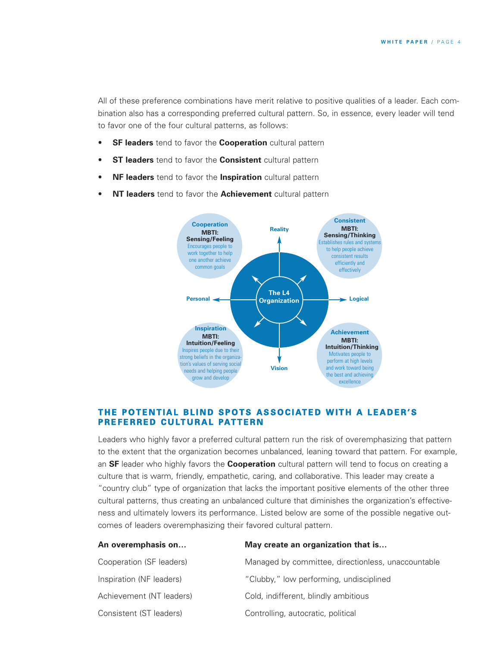All of these preference combinations have merit relative to positive qualities of a leader. Each combination also has a corresponding preferred cultural pattern. So, in essence, every leader will tend to favor one of the four cultural patterns, as follows:

- **SF leaders** tend to favor the **Cooperation** cultural pattern
- **ST leaders** tend to favor the **Consistent** cultural pattern
- **NF leaders** tend to favor the **Inspiration** cultural pattern
- **NT leaders** tend to favor the **Achievement** cultural pattern



#### THE POTENTIAL BLIND SPOTS ASSOCIATED WITH A LEADER'S **PREFERRED CULTURAL PATTERN**

Leaders who highly favor a preferred cultural pattern run the risk of overemphasizing that pattern to the extent that the organization becomes unbalanced, leaning toward that pattern. For example, an **SF** leader who highly favors the **Cooperation** cultural pattern will tend to focus on creating a culture that is warm, friendly, empathetic, caring, and collaborative. This leader may create a "country club" type of organization that lacks the important positive elements of the other three cultural patterns, thus creating an unbalanced culture that diminishes the organization's effectiveness and ultimately lowers its performance. Listed below are some of the possible negative outcomes of leaders overemphasizing their favored cultural pattern.

| An overemphasis on       | May create an organization that is                 |
|--------------------------|----------------------------------------------------|
| Cooperation (SF leaders) | Managed by committee, directionless, unaccountable |
| Inspiration (NF leaders) | "Clubby," low performing, undisciplined            |
| Achievement (NT leaders) | Cold, indifferent, blindly ambitious               |
| Consistent (ST leaders)  | Controlling, autocratic, political                 |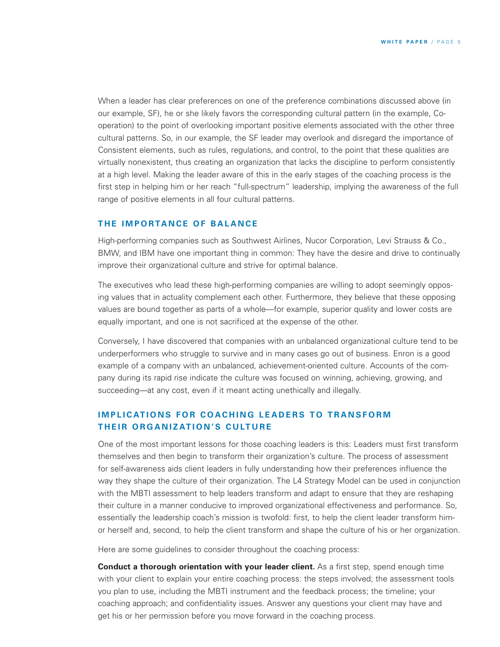When a leader has clear preferences on one of the preference combinations discussed above (in our example, SF), he or she likely favors the corresponding cultural pattern (in the example, Cooperation) to the point of overlooking important positive elements associated with the other three cultural patterns. So, in our example, the SF leader may overlook and disregard the importance of Consistent elements, such as rules, regulations, and control, to the point that these qualities are virtually nonexistent, thus creating an organization that lacks the discipline to perform consistently at a high level. Making the leader aware of this in the early stages of the coaching process is the first step in helping him or her reach "full-spectrum" leadership, implying the awareness of the full range of positive elements in all four cultural patterns.

#### **THE IMPORTANCE OF BALANCE**

High-performing companies such as Southwest Airlines, Nucor Corporation, Levi Strauss & Co., BMW, and IBM have one important thing in common: They have the desire and drive to continually improve their organizational culture and strive for optimal balance.

The executives who lead these high-performing companies are willing to adopt seemingly opposing values that in actuality complement each other. Furthermore, they believe that these opposing values are bound together as parts of a whole—for example, superior quality and lower costs are equally important, and one is not sacrificed at the expense of the other.

Conversely, I have discovered that companies with an unbalanced organizational culture tend to be underperformers who struggle to survive and in many cases go out of business. Enron is a good example of a company with an unbalanced, achievement-oriented culture. Accounts of the company during its rapid rise indicate the culture was focused on winning, achieving, growing, and succeeding—at any cost, even if it meant acting unethically and illegally.

## **IMPLICATIONS FOR COACHING LEADERS TO TRANSFORM THEIR ORGANIZATION'S CULTURE**

One of the most important lessons for those coaching leaders is this: Leaders must first transform themselves and then begin to transform their organization's culture. The process of assessment for self-awareness aids client leaders in fully understanding how their preferences influence the way they shape the culture of their organization. The L4 Strategy Model can be used in conjunction with the MBTI assessment to help leaders transform and adapt to ensure that they are reshaping their culture in a manner conducive to improved organizational effectiveness and performance. So, essentially the leadership coach's mission is twofold: first, to help the client leader transform himor herself and, second, to help the client transform and shape the culture of his or her organization.

Here are some guidelines to consider throughout the coaching process:

**Conduct a thorough orientation with your leader client.** As a first step, spend enough time with your client to explain your entire coaching process: the steps involved; the assessment tools you plan to use, including the MBTI instrument and the feedback process; the timeline; your coaching approach; and confidentiality issues. Answer any questions your client may have and get his or her permission before you move forward in the coaching process.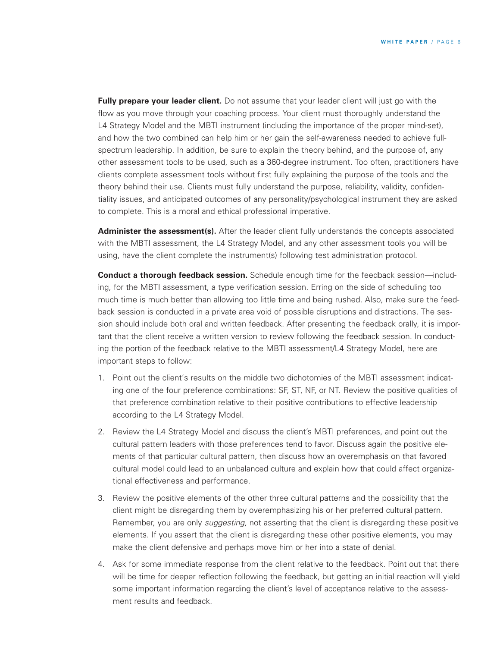**Fully prepare your leader client.** Do not assume that your leader client will just go with the flow as you move through your coaching process. Your client must thoroughly understand the L4 Strategy Model and the MBTI instrument (including the importance of the proper mind-set), and how the two combined can help him or her gain the self-awareness needed to achieve fullspectrum leadership. In addition, be sure to explain the theory behind, and the purpose of, any other assessment tools to be used, such as a 360-degree instrument. Too often, practitioners have clients complete assessment tools without first fully explaining the purpose of the tools and the theory behind their use. Clients must fully understand the purpose, reliability, validity, confidentiality issues, and anticipated outcomes of any personality/psychological instrument they are asked to complete. This is a moral and ethical professional imperative.

Administer the assessment(s). After the leader client fully understands the concepts associated with the MBTI assessment, the L4 Strategy Model, and any other assessment tools you will be using, have the client complete the instrument(s) following test administration protocol.

**Conduct a thorough feedback session.** Schedule enough time for the feedback session—including, for the MBTI assessment, a type verification session. Erring on the side of scheduling too much time is much better than allowing too little time and being rushed. Also, make sure the feedback session is conducted in a private area void of possible disruptions and distractions. The session should include both oral and written feedback. After presenting the feedback orally, it is important that the client receive a written version to review following the feedback session. In conducting the portion of the feedback relative to the MBTI assessment/L4 Strategy Model, here are important steps to follow:

- 1. Point out the client's results on the middle two dichotomies of the MBTI assessment indicating one of the four preference combinations: SF, ST, NF, or NT. Review the positive qualities of that preference combination relative to their positive contributions to effective leadership according to the L4 Strategy Model.
- 2. Review the L4 Strategy Model and discuss the client's MBTI preferences, and point out the cultural pattern leaders with those preferences tend to favor. Discuss again the positive elements of that particular cultural pattern, then discuss how an overemphasis on that favored cultural model could lead to an unbalanced culture and explain how that could affect organizational effectiveness and performance.
- 3. Review the positive elements of the other three cultural patterns and the possibility that the client might be disregarding them by overemphasizing his or her preferred cultural pattern. Remember, you are only *suggesting,* not asserting that the client is disregarding these positive elements. If you assert that the client is disregarding these other positive elements, you may make the client defensive and perhaps move him or her into a state of denial.
- 4. Ask for some immediate response from the client relative to the feedback. Point out that there will be time for deeper reflection following the feedback, but getting an initial reaction will yield some important information regarding the client's level of acceptance relative to the assessment results and feedback.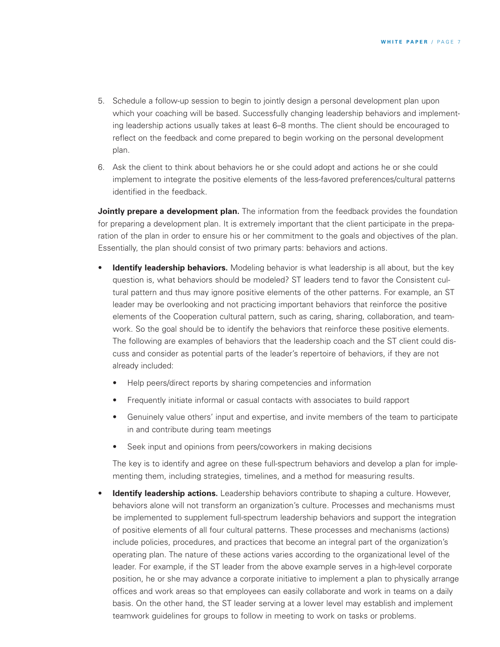- 5. Schedule a follow-up session to begin to jointly design a personal development plan upon which your coaching will be based. Successfully changing leadership behaviors and implementing leadership actions usually takes at least 6–8 months. The client should be encouraged to reflect on the feedback and come prepared to begin working on the personal development plan.
- 6. Ask the client to think about behaviors he or she could adopt and actions he or she could implement to integrate the positive elements of the less-favored preferences/cultural patterns identified in the feedback.

**Jointly prepare a development plan.** The information from the feedback provides the foundation for preparing a development plan. It is extremely important that the client participate in the preparation of the plan in order to ensure his or her commitment to the goals and objectives of the plan. Essentially, the plan should consist of two primary parts: behaviors and actions.

- **Identify leadership behaviors.** Modeling behavior is what leadership is all about, but the key question is, what behaviors should be modeled? ST leaders tend to favor the Consistent cultural pattern and thus may ignore positive elements of the other patterns. For example, an ST leader may be overlooking and not practicing important behaviors that reinforce the positive elements of the Cooperation cultural pattern, such as caring, sharing, collaboration, and teamwork. So the goal should be to identify the behaviors that reinforce these positive elements. The following are examples of behaviors that the leadership coach and the ST client could discuss and consider as potential parts of the leader's repertoire of behaviors, if they are not already included:
	- Help peers/direct reports by sharing competencies and information
	- Frequently initiate informal or casual contacts with associates to build rapport
	- Genuinely value others' input and expertise, and invite members of the team to participate in and contribute during team meetings
	- Seek input and opinions from peers/coworkers in making decisions

The key is to identify and agree on these full-spectrum behaviors and develop a plan for implementing them, including strategies, timelines, and a method for measuring results.

**Identify leadership actions.** Leadership behaviors contribute to shaping a culture. However, behaviors alone will not transform an organization's culture. Processes and mechanisms must be implemented to supplement full-spectrum leadership behaviors and support the integration of positive elements of all four cultural patterns. These processes and mechanisms (actions) include policies, procedures, and practices that become an integral part of the organization's operating plan. The nature of these actions varies according to the organizational level of the leader. For example, if the ST leader from the above example serves in a high-level corporate position, he or she may advance a corporate initiative to implement a plan to physically arrange offices and work areas so that employees can easily collaborate and work in teams on a daily basis. On the other hand, the ST leader serving at a lower level may establish and implement teamwork guidelines for groups to follow in meeting to work on tasks or problems.